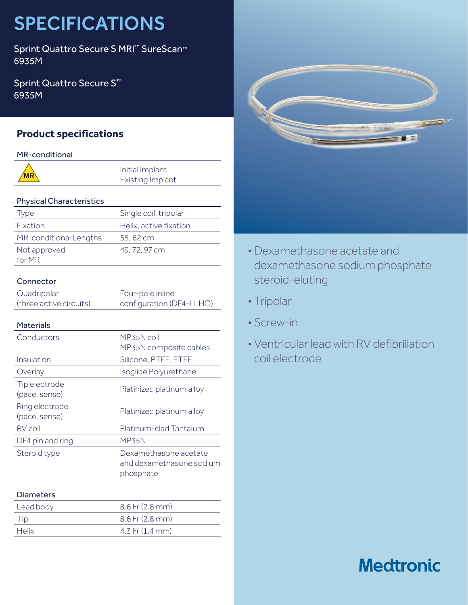# SPECIFICATIONS

Sprint Quattro Secure S MRI<sup>™</sup> SureScan<sup>™</sup> 6935M

Sprint Quattro Secure S<sup>™</sup> 6935M

# **Product specifications**

## MR-conditional

## Physical Characteristics

| <b>Type</b>            | Single coil, tripolar  |
|------------------------|------------------------|
| Fixation               | Helix, active fixation |
| MR-conditional Lengths | 55, 62 cm              |
| Not approved           | 49, 72, 97 cm          |
| for MRI                |                        |

# Connector

| Quadripolar             | Four-pole inline         |
|-------------------------|--------------------------|
| (three active circuits) | configuration (DF4-LLHO) |

## **Materials**

| Conductors                      | MP35N coil<br>MP35N composite cables                           |
|---------------------------------|----------------------------------------------------------------|
| Insulation                      | Silicone, PTFE, ETFE                                           |
| Overlay                         | Isoglide Polyurethane                                          |
| Tip electrode<br>(pace, sense)  | Platinized platinum alloy                                      |
| Ring electrode<br>(pace, sense) | Platinized platinum alloy                                      |
| RV coil                         | Platinum-clad Tantalum                                         |
| DF4 pin and ring                | <b>MP35N</b>                                                   |
| Steroid type                    | Dexamethasone acetate<br>and dexamethasone sodium<br>phosphate |

## **Diameters**

| Lead body | $8.6$ Fr (2.8 mm)           |
|-----------|-----------------------------|
| Tip       | $8.6$ Fr (2.8 mm)           |
| Helix     | 4.3 Fr $(1.4 \, \text{mm})$ |



- Dexamethasone acetate and dexamethasone sodium phosphate steroid-eluting
- Tripolar
- Screw-in
- Ventricular lead with RV defibrillation coil electrode

# **Medtronic**